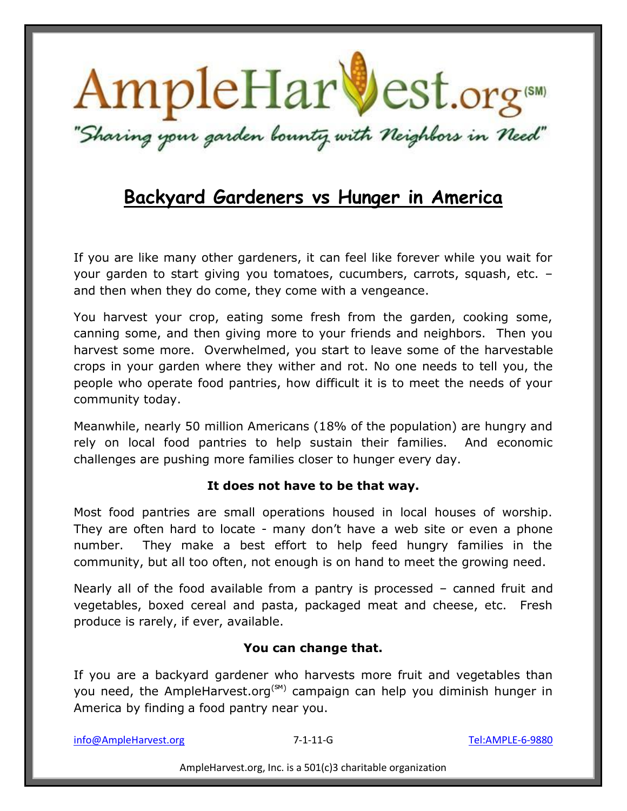

## **Backyard Gardeners vs Hunger in America**

If you are like many other gardeners, it can feel like forever while you wait for your garden to start giving you tomatoes, cucumbers, carrots, squash, etc. – and then when they do come, they come with a vengeance.

You harvest your crop, eating some fresh from the garden, cooking some, canning some, and then giving more to your friends and neighbors. Then you harvest some more. Overwhelmed, you start to leave some of the harvestable crops in your garden where they wither and rot. No one needs to tell you, the people who operate food pantries, how difficult it is to meet the needs of your community today.

Meanwhile, nearly 50 million Americans (18% of the population) are hungry and rely on local food pantries to help sustain their families. And economic challenges are pushing more families closer to hunger every day.

### **It does not have to be that way.**

Most food pantries are small operations housed in local houses of worship. They are often hard to locate - many don't have a web site or even a phone number. They make a best effort to help feed hungry families in the community, but all too often, not enough is on hand to meet the growing need.

Nearly all of the food available from a pantry is processed – canned fruit and vegetables, boxed cereal and pasta, packaged meat and cheese, etc. Fresh produce is rarely, if ever, available.

### **You can change that.**

If you are a backyard gardener who harvests more fruit and vegetables than you need, the AmpleHarvest.org<sup>(SM)</sup> campaign can help you diminish hunger in America by finding a food pantry near you.

info@AmpleHarvest.org 7-1-11-G Tel:AMPLE-6-9880